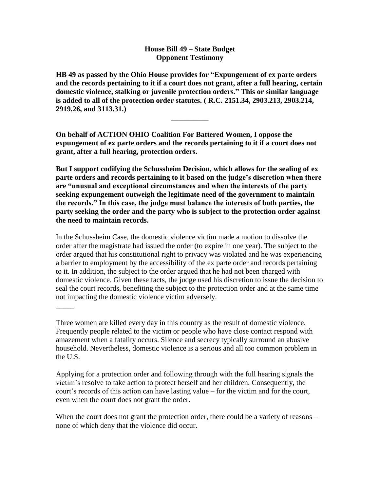## **House Bill 49 – State Budget Opponent Testimony**

**HB 49 as passed by the Ohio House provides for "Expungement of ex parte orders and the records pertaining to it if a court does not grant, after a full hearing, certain domestic violence, stalking or juvenile protection orders." This or similar language is added to all of the protection order statutes. ( R.C. 2151.34, 2903.213, 2903.214, 2919.26, and 3113.31.)**

\_\_\_\_\_\_\_\_\_\_

**On behalf of ACTION OHIO Coalition For Battered Women, I oppose the expungement of ex parte orders and the records pertaining to it if a court does not grant, after a full hearing, protection orders.**

**But I support codifying the Schussheim Decision, which allows for the sealing of ex parte orders and records pertaining to it based on the judge's discretion when there are "unusual and exceptional circumstances and when the interests of the party seeking expungement outweigh the legitimate need of the government to maintain the records." In this case, the judge must balance the interests of both parties, the party seeking the order and the party who is subject to the protection order against the need to maintain records.** 

In the Schussheim Case, the domestic violence victim made a motion to dissolve the order after the magistrate had issued the order (to expire in one year). The subject to the order argued that his constitutional right to privacy was violated and he was experiencing a barrier to employment by the accessibility of the ex parte order and records pertaining to it. In addition, the subject to the order argued that he had not been charged with domestic violence. Given these facts, the judge used his discretion to issue the decision to seal the court records, benefiting the subject to the protection order and at the same time not impacting the domestic violence victim adversely.

Three women are killed every day in this country as the result of domestic violence. Frequently people related to the victim or people who have close contact respond with amazement when a fatality occurs. Silence and secrecy typically surround an abusive household. Nevertheless, domestic violence is a serious and all too common problem in the U.S.

 $\overline{\phantom{a}}$ 

Applying for a protection order and following through with the full hearing signals the victim's resolve to take action to protect herself and her children. Consequently, the court's records of this action can have lasting value – for the victim and for the court, even when the court does not grant the order.

When the court does not grant the protection order, there could be a variety of reasons – none of which deny that the violence did occur.